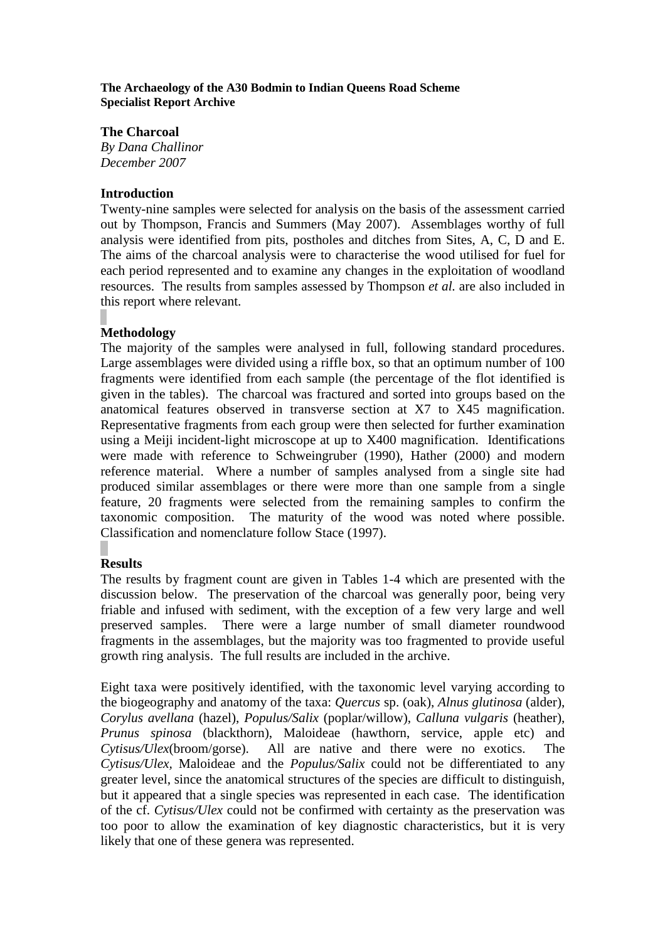#### **The Archaeology of the A30 Bodmin to Indian Queens Road Scheme Specialist Report Archive**

## **The Charcoal**

*By Dana Challinor December 2007*

## **Introduction**

Twenty-nine samples were selected for analysis on the basis of the assessment carried out by Thompson, Francis and Summers (May 2007). Assemblages worthy of full analysis were identified from pits, postholes and ditches from Sites, A, C, D and E. The aims of the charcoal analysis were to characterise the wood utilised for fuel for each period represented and to examine any changes in the exploitation of woodland resources. The results from samples assessed by Thompson *et al.* are also included in this report where relevant.

# **Methodology**

The majority of the samples were analysed in full, following standard procedures. Large assemblages were divided using a riffle box, so that an optimum number of 100 fragments were identified from each sample (the percentage of the flot identified is given in the tables). The charcoal was fractured and sorted into groups based on the anatomical features observed in transverse section at X7 to X45 magnification. Representative fragments from each group were then selected for further examination using a Meiji incident-light microscope at up to X400 magnification. Identifications were made with reference to Schweingruber (1990), Hather (2000) and modern reference material. Where a number of samples analysed from a single site had produced similar assemblages or there were more than one sample from a single feature, 20 fragments were selected from the remaining samples to confirm the taxonomic composition. The maturity of the wood was noted where possible. Classification and nomenclature follow Stace (1997).

# **Results**

The results by fragment count are given in Tables 1-4 which are presented with the discussion below. The preservation of the charcoal was generally poor, being very friable and infused with sediment, with the exception of a few very large and well preserved samples. There were a large number of small diameter roundwood fragments in the assemblages, but the majority was too fragmented to provide useful growth ring analysis. The full results are included in the archive.

Eight taxa were positively identified, with the taxonomic level varying according to the biogeography and anatomy of the taxa: *Quercus* sp. (oak), *Alnus glutinosa* (alder), *Corylus avellana* (hazel), *Populus/Salix* (poplar/willow), *Calluna vulgaris* (heather), *Prunus spinosa* (blackthorn), Maloideae (hawthorn, service, apple etc) and *Cytisus/Ulex*(broom/gorse). All are native and there were no exotics. The *Cytisus/Ulex,* Maloideae and the *Populus/Salix* could not be differentiated to any greater level, since the anatomical structures of the species are difficult to distinguish, but it appeared that a single species was represented in each case. The identification of the cf. *Cytisus/Ulex* could not be confirmed with certainty as the preservation was too poor to allow the examination of key diagnostic characteristics, but it is very likely that one of these genera was represented.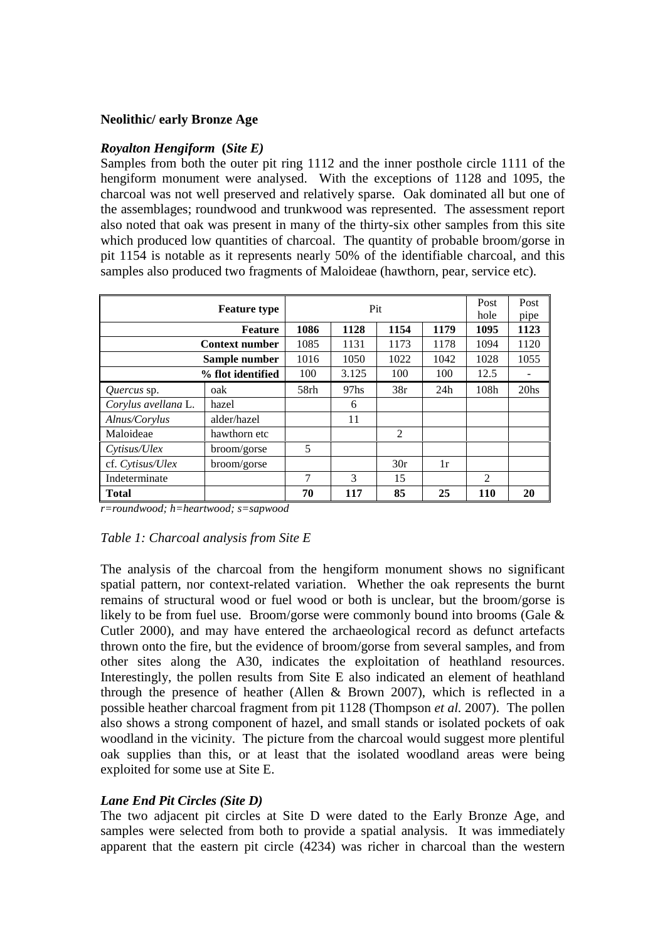#### **Neolithic/ early Bronze Age**

#### *Royalton Hengiform* **(***Site E)*

Samples from both the outer pit ring 1112 and the inner posthole circle 1111 of the hengiform monument were analysed. With the exceptions of 1128 and 1095, the charcoal was not well preserved and relatively sparse. Oak dominated all but one of the assemblages; roundwood and trunkwood was represented. The assessment report also noted that oak was present in many of the thirty-six other samples from this site which produced low quantities of charcoal. The quantity of probable broom/gorse in pit 1154 is notable as it represents nearly 50% of the identifiable charcoal, and this samples also produced two fragments of Maloideae (hawthorn, pear, service etc).

|                       | Pit                 |      |                  |                |      |               | Post             |
|-----------------------|---------------------|------|------------------|----------------|------|---------------|------------------|
|                       | <b>Feature type</b> |      |                  | hole           | pipe |               |                  |
|                       | <b>Feature</b>      | 1086 | 1128             | 1154           | 1179 | 1095          | 1123             |
| <b>Context number</b> |                     | 1085 | 1131             | 1173           | 1178 | 1094          | 1120             |
| Sample number         |                     | 1016 | 1050             | 1022           | 1042 | 1028          | 1055             |
|                       | % flot identified   | 100  | 3.125            | 100            | 100  | 12.5          |                  |
| Quercus sp.           | oak                 | 58rh | 97 <sub>hs</sub> | 38r            | 24h  | 108h          | 20 <sub>hs</sub> |
| Corylus avellana L.   | hazel               |      | 6                |                |      |               |                  |
| Alnus/Corylus         | alder/hazel         |      | 11               |                |      |               |                  |
| Maloideae             | hawthorn etc        |      |                  | $\mathfrak{D}$ |      |               |                  |
| Cytisus/Ulex          | broom/gorse         | 5    |                  |                |      |               |                  |
| cf. Cytisus/Ulex      | broom/gorse         |      |                  | 30r            | 1r   |               |                  |
| Indeterminate         |                     | 7    | 3                | 15             |      | $\mathcal{L}$ |                  |
| <b>Total</b>          |                     | 70   | 117              | 85             | 25   | <b>110</b>    | 20               |

*r=roundwood; h=heartwood; s=sapwood*

#### *Table 1: Charcoal analysis from Site E*

The analysis of the charcoal from the hengiform monument shows no significant spatial pattern, nor context-related variation. Whether the oak represents the burnt remains of structural wood or fuel wood or both is unclear, but the broom/gorse is likely to be from fuel use. Broom/gorse were commonly bound into brooms (Gale & Cutler 2000), and may have entered the archaeological record as defunct artefacts thrown onto the fire, but the evidence of broom/gorse from several samples, and from other sites along the A30, indicates the exploitation of heathland resources. Interestingly, the pollen results from Site E also indicated an element of heathland through the presence of heather (Allen  $\&$  Brown 2007), which is reflected in a possible heather charcoal fragment from pit 1128 (Thompson *et al.* 2007). The pollen also shows a strong component of hazel, and small stands or isolated pockets of oak woodland in the vicinity. The picture from the charcoal would suggest more plentiful oak supplies than this, or at least that the isolated woodland areas were being exploited for some use at Site E.

#### *Lane End Pit Circles (Site D)*

The two adjacent pit circles at Site D were dated to the Early Bronze Age, and samples were selected from both to provide a spatial analysis. It was immediately apparent that the eastern pit circle (4234) was richer in charcoal than the western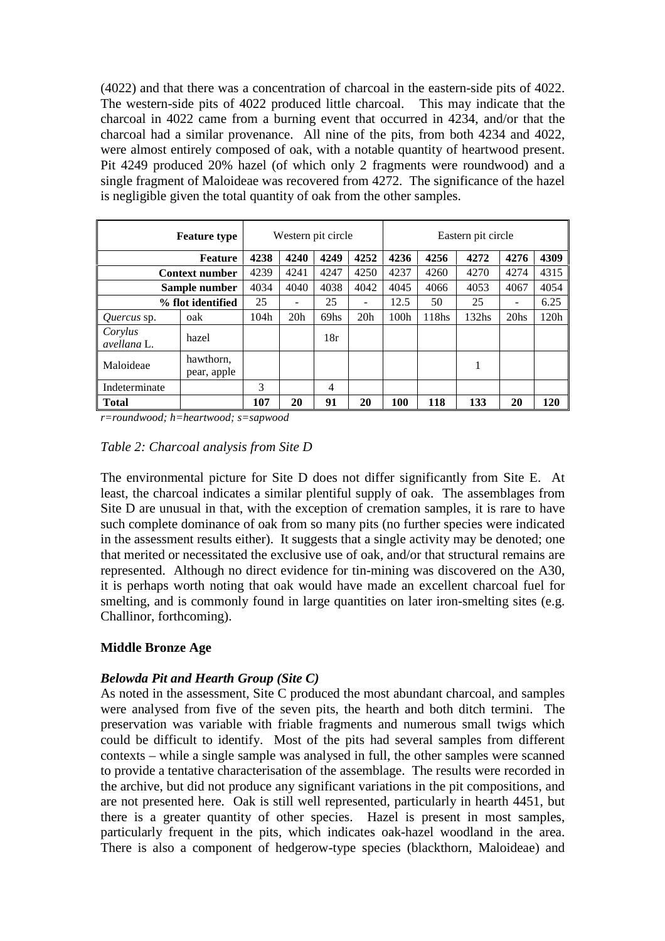(4022) and that there was a concentration of charcoal in the eastern-side pits of 4022. The western-side pits of 4022 produced little charcoal. This may indicate that the charcoal in 4022 came from a burning event that occurred in 4234, and/or that the charcoal had a similar provenance. All nine of the pits, from both 4234 and 4022, were almost entirely composed of oak, with a notable quantity of heartwood present. Pit 4249 produced 20% hazel (of which only 2 fragments were roundwood) and a single fragment of Maloideae was recovered from 4272. The significance of the hazel is negligible given the total quantity of oak from the other samples.

|                        | <b>Feature type</b>      |      |      | Western pit circle |      |      |       | Eastern pit circle |                  |      |  |  |
|------------------------|--------------------------|------|------|--------------------|------|------|-------|--------------------|------------------|------|--|--|
| <b>Feature</b>         |                          | 4238 | 4240 | 4249               | 4252 | 4236 | 4256  | 4272               | 4276             | 4309 |  |  |
| <b>Context number</b>  |                          | 4239 | 4241 | 4247               | 4250 | 4237 | 4260  | 4270               | 4274             | 4315 |  |  |
| Sample number          |                          | 4034 | 4040 | 4038               | 4042 | 4045 | 4066  | 4053               | 4067             | 4054 |  |  |
| % flot identified      |                          | 25   |      | 25                 |      | 12.5 | 50    | 25                 |                  | 6.25 |  |  |
| <i>Quercus</i> sp.     | oak                      | 104h | 20h  | 69hs               | 20h  | 100h | 118hs | 132 <sub>hs</sub>  | 20 <sub>hs</sub> | 120h |  |  |
| Corylus<br>avellana L. | hazel                    |      |      | 18r                |      |      |       |                    |                  |      |  |  |
| Maloideae              | hawthorn,<br>pear, apple |      |      |                    |      |      |       | -                  |                  |      |  |  |
| Indeterminate          |                          | 3    |      | 4                  |      |      |       |                    |                  |      |  |  |
| <b>Total</b>           |                          | 107  | 20   | 91                 | 20   | 100  | 118   | 133                | 20               | 120  |  |  |

*r=roundwood; h=heartwood; s=sapwood*

#### *Table 2: Charcoal analysis from Site D*

The environmental picture for Site D does not differ significantly from Site E. At least, the charcoal indicates a similar plentiful supply of oak. The assemblages from Site D are unusual in that, with the exception of cremation samples, it is rare to have such complete dominance of oak from so many pits (no further species were indicated in the assessment results either). It suggests that a single activity may be denoted; one that merited or necessitated the exclusive use of oak, and/or that structural remains are represented. Although no direct evidence for tin-mining was discovered on the A30, it is perhaps worth noting that oak would have made an excellent charcoal fuel for smelting, and is commonly found in large quantities on later iron-smelting sites (e.g. Challinor, forthcoming).

#### **Middle Bronze Age**

#### *Belowda Pit and Hearth Group (Site C)*

As noted in the assessment, Site C produced the most abundant charcoal, and samples were analysed from five of the seven pits, the hearth and both ditch termini. The preservation was variable with friable fragments and numerous small twigs which could be difficult to identify. Most of the pits had several samples from different contexts – while a single sample was analysed in full, the other samples were scanned to provide a tentative characterisation of the assemblage. The results were recorded in the archive, but did not produce any significant variations in the pit compositions, and are not presented here. Oak is still well represented, particularly in hearth 4451, but there is a greater quantity of other species. Hazel is present in most samples, particularly frequent in the pits, which indicates oak-hazel woodland in the area. There is also a component of hedgerow-type species (blackthorn, Maloideae) and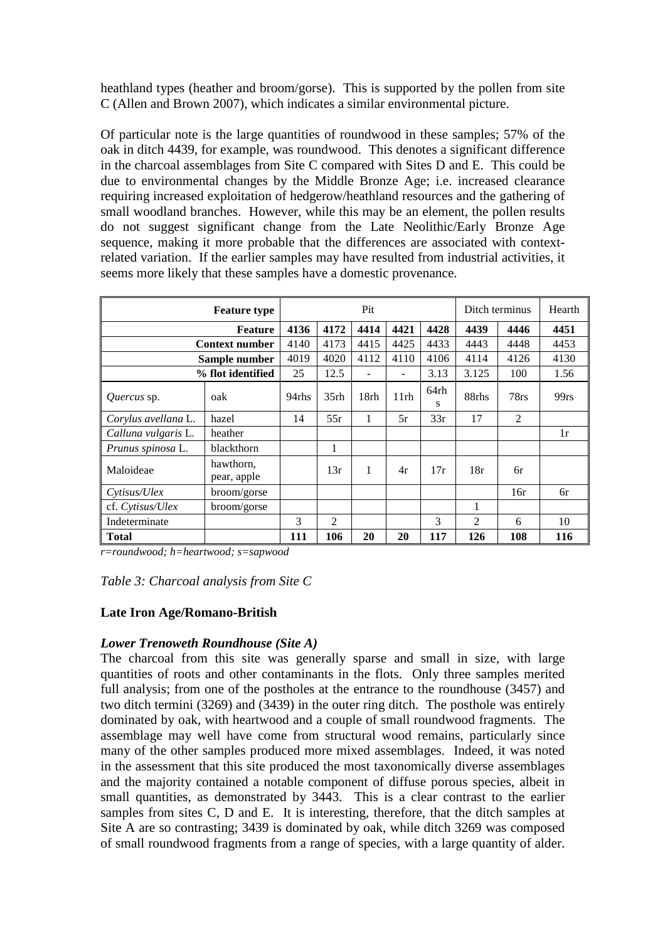heathland types (heather and broom/gorse). This is supported by the pollen from site C (Allen and Brown 2007), which indicates a similar environmental picture.

Of particular note is the large quantities of roundwood in these samples; 57% of the oak in ditch 4439, for example, was roundwood. This denotes a significant difference in the charcoal assemblages from Site C compared with Sites D and E. This could be due to environmental changes by the Middle Bronze Age; i.e. increased clearance requiring increased exploitation of hedgerow/heathland resources and the gathering of small woodland branches. However, while this may be an element, the pollen results do not suggest significant change from the Late Neolithic/Early Bronze Age sequence, making it more probable that the differences are associated with contextrelated variation. If the earlier samples may have resulted from industrial activities, it seems more likely that these samples have a domestic provenance.

|                     | Pit                      |       |                  |      |      | Ditch terminus |                | Hearth  |         |
|---------------------|--------------------------|-------|------------------|------|------|----------------|----------------|---------|---------|
| <b>Feature</b>      |                          | 4136  | 4172             | 4414 | 4421 | 4428           | 4439           | 4446    | 4451    |
|                     | <b>Context number</b>    | 4140  | 4173             | 4415 | 4425 | 4433           | 4443           | 4448    | 4453    |
| Sample number       |                          | 4019  | 4020             | 4112 | 4110 | 4106           | 4114           | 4126    | 4130    |
| % flot identified   |                          | 25    | 12.5             |      | -    | 3.13           | 3.125          | 100     | 1.56    |
| <i>Ouercus</i> sp.  | oak                      | 94rhs | 35 <sub>rh</sub> | 18rh | 11rh | 64rh<br>S      | 88rhs          | $78$ rs | $99$ rs |
| Corylus avellana L. | hazel                    | 14    | 55r              | 1    | 5r   | 33r            | 17             | 2       |         |
| Calluna vulgaris L. | heather                  |       |                  |      |      |                |                |         | 1r      |
| Prunus spinosa L.   | blackthorn               |       |                  |      |      |                |                |         |         |
| Maloideae           | hawthorn,<br>pear, apple |       | 13r              | 1    | 4r   | 17r            | 18r            | 6r      |         |
| Cytisus/Ulex        | broom/gorse              |       |                  |      |      |                |                | 16r     | 6r      |
| cf. Cytisus/Ulex    | broom/gorse              |       |                  |      |      |                | 1              |         |         |
| Indeterminate       |                          | 3     | $\overline{2}$   |      |      | 3              | $\mathfrak{D}$ | 6       | 10      |
| <b>Total</b>        |                          | 111   | 106              | 20   | 20   | 117            | 126            | 108     | 116     |

*r=roundwood; h=heartwood; s=sapwood*

#### *Table 3: Charcoal analysis from Site C*

#### **Late Iron Age/Romano-British**

#### *Lower Trenoweth Roundhouse (Site A)*

The charcoal from this site was generally sparse and small in size, with large quantities of roots and other contaminants in the flots. Only three samples merited full analysis; from one of the postholes at the entrance to the roundhouse (3457) and two ditch termini (3269) and (3439) in the outer ring ditch. The posthole was entirely dominated by oak, with heartwood and a couple of small roundwood fragments. The assemblage may well have come from structural wood remains, particularly since many of the other samples produced more mixed assemblages. Indeed, it was noted in the assessment that this site produced the most taxonomically diverse assemblages and the majority contained a notable component of diffuse porous species, albeit in small quantities, as demonstrated by 3443. This is a clear contrast to the earlier samples from sites C, D and E. It is interesting, therefore, that the ditch samples at Site A are so contrasting; 3439 is dominated by oak, while ditch 3269 was composed of small roundwood fragments from a range of species, with a large quantity of alder.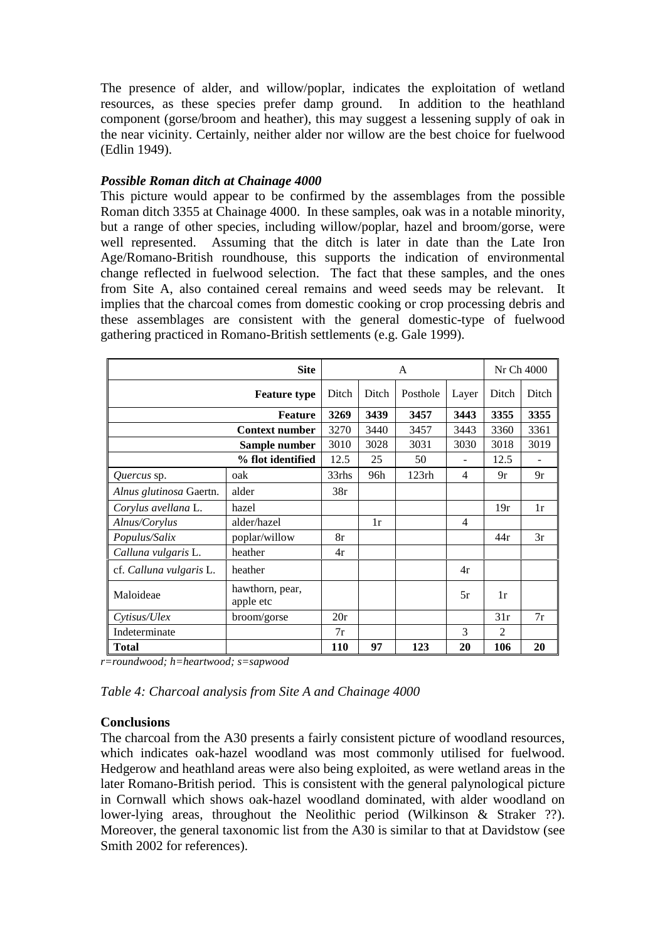The presence of alder, and willow/poplar, indicates the exploitation of wetland resources, as these species prefer damp ground. In addition to the heathland component (gorse/broom and heather), this may suggest a lessening supply of oak in the near vicinity. Certainly, neither alder nor willow are the best choice for fuelwood (Edlin 1949).

## *Possible Roman ditch at Chainage 4000*

This picture would appear to be confirmed by the assemblages from the possible Roman ditch 3355 at Chainage 4000. In these samples, oak was in a notable minority, but a range of other species, including willow/poplar, hazel and broom/gorse, were well represented. Assuming that the ditch is later in date than the Late Iron Age/Romano-British roundhouse, this supports the indication of environmental change reflected in fuelwood selection. The fact that these samples, and the ones from Site A, also contained cereal remains and weed seeds may be relevant. It implies that the charcoal comes from domestic cooking or crop processing debris and these assemblages are consistent with the general domestic-type of fuelwood gathering practiced in Romano-British settlements (e.g. Gale 1999).

|                         |                              |       | Nr Ch 4000 |          |       |                |       |
|-------------------------|------------------------------|-------|------------|----------|-------|----------------|-------|
| <b>Feature type</b>     |                              |       | Ditch      | Posthole | Layer | Ditch          | Ditch |
| <b>Feature</b>          |                              |       | 3439       | 3457     | 3443  | 3355           | 3355  |
| <b>Context number</b>   |                              |       | 3440       | 3457     | 3443  | 3360           | 3361  |
| Sample number           |                              |       | 3028       | 3031     | 3030  | 3018           | 3019  |
| % flot identified       |                              |       | 25         | 50       |       | 12.5           |       |
| Quercus sp.             | oak                          | 33rhs | 96h        | 123rh    | 4     | 9r             | 9r    |
| Alnus glutinosa Gaertn. | alder                        | 38r   |            |          |       |                |       |
| Corylus avellana L.     | hazel                        |       |            |          |       | 19r            | 1r    |
| Alnus/Corylus           | alder/hazel                  |       | 1r         |          | 4     |                |       |
| Populus/Salix           | poplar/willow                | 8r    |            |          |       | 44r            | 3r    |
| Calluna vulgaris L.     | heather                      | 4r    |            |          |       |                |       |
| cf. Calluna vulgaris L. | heather                      |       |            |          | 4r    |                |       |
| Maloideae               | hawthorn, pear,<br>apple etc |       |            |          | 5r    | 1r             |       |
| Cytisus/Ulex            | broom/gorse                  | 20r   |            |          |       | 31r            | 7r    |
| Indeterminate           |                              | 7r    |            |          | 3     | $\overline{2}$ |       |
| <b>Total</b>            |                              | 110   | 97         | 123      | 20    | 106            | 20    |

*r=roundwood; h=heartwood; s=sapwood*

*Table 4: Charcoal analysis from Site A and Chainage 4000*

#### **Conclusions**

The charcoal from the A30 presents a fairly consistent picture of woodland resources, which indicates oak-hazel woodland was most commonly utilised for fuelwood. Hedgerow and heathland areas were also being exploited, as were wetland areas in the later Romano-British period. This is consistent with the general palynological picture in Cornwall which shows oak-hazel woodland dominated, with alder woodland on lower-lying areas, throughout the Neolithic period (Wilkinson & Straker ??). Moreover, the general taxonomic list from the A30 is similar to that at Davidstow (see Smith 2002 for references).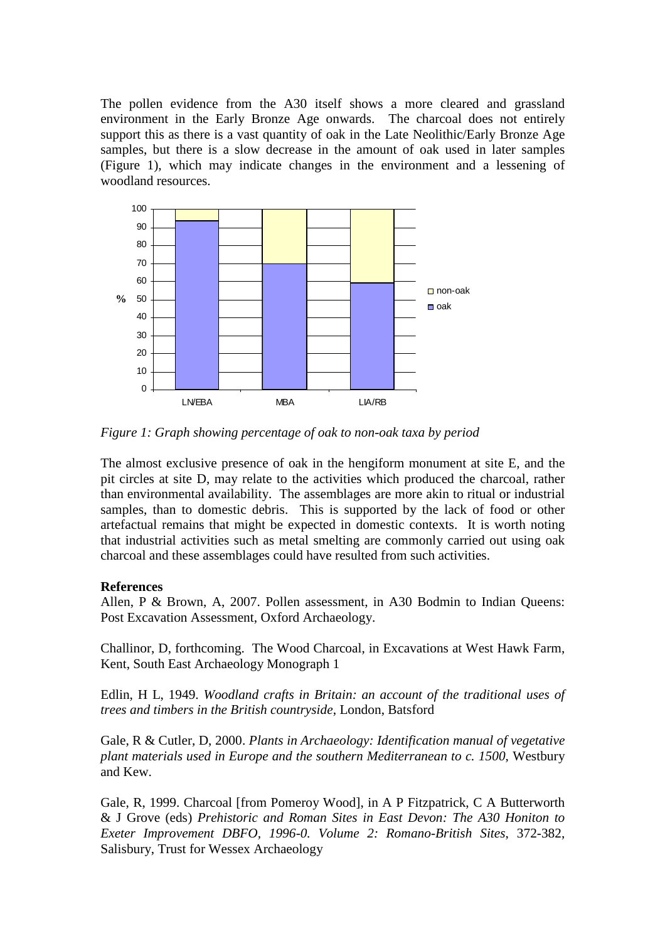The pollen evidence from the A30 itself shows a more cleared and grassland environment in the Early Bronze Age onwards. The charcoal does not entirely support this as there is a vast quantity of oak in the Late Neolithic/Early Bronze Age samples, but there is a slow decrease in the amount of oak used in later samples (Figure 1), which may indicate changes in the environment and a lessening of woodland resources.



*Figure 1: Graph showing percentage of oak to non-oak taxa by period*

The almost exclusive presence of oak in the hengiform monument at site E, and the pit circles at site D, may relate to the activities which produced the charcoal, rather than environmental availability. The assemblages are more akin to ritual or industrial samples, than to domestic debris. This is supported by the lack of food or other artefactual remains that might be expected in domestic contexts. It is worth noting that industrial activities such as metal smelting are commonly carried out using oak charcoal and these assemblages could have resulted from such activities.

# **References**

Allen, P & Brown, A, 2007. Pollen assessment, in A30 Bodmin to Indian Queens: Post Excavation Assessment, Oxford Archaeology.

Challinor, D, forthcoming. The Wood Charcoal, in Excavations at West Hawk Farm, Kent, South East Archaeology Monograph 1

Edlin, H L, 1949. *Woodland crafts in Britain: an account of the traditional uses of trees and timbers in the British countryside*, London, Batsford

Gale, R & Cutler, D, 2000. *Plants in Archaeology: Identification manual of vegetative plant materials used in Europe and the southern Mediterranean to c. 1500*, Westbury and Kew.

Gale, R, 1999. Charcoal [from Pomeroy Wood], in A P Fitzpatrick, C A Butterworth & J Grove (eds) *Prehistoric and Roman Sites in East Devon: The A30 Honiton to Exeter Improvement DBFO, 1996-0. Volume 2: Romano-British Sites*, 372-382, Salisbury, Trust for Wessex Archaeology